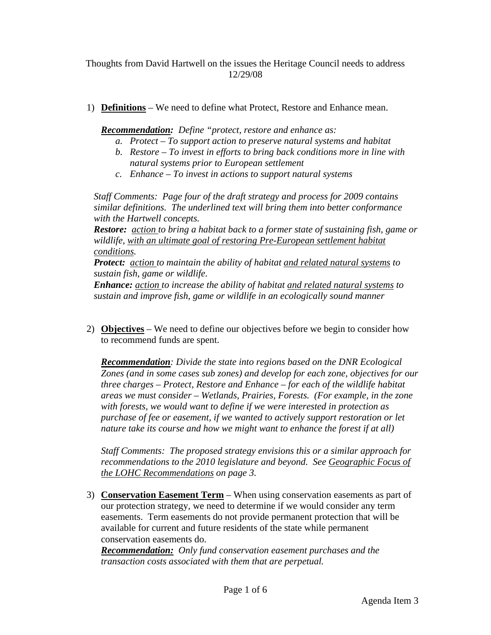Thoughts from David Hartwell on the issues the Heritage Council needs to address 12/29/08

1) **Definitions** – We need to define what Protect, Restore and Enhance mean.

*Recommendation: Define "protect, restore and enhance as:* 

- *a. Protect To support action to preserve natural systems and habitat*
- *b. Restore To invest in efforts to bring back conditions more in line with natural systems prior to European settlement*
- *c. Enhance To invest in actions to support natural systems*

*Staff Comments: Page four of the draft strategy and process for 2009 contains similar definitions. The underlined text will bring them into better conformance with the Hartwell concepts.* 

*Restore: action to bring a habitat back to a former state of sustaining fish, game or wildlife, with an ultimate goal of restoring Pre-European settlement habitat conditions.* 

*Protect: action to maintain the ability of habitat and related natural systems to sustain fish, game or wildlife.* 

*Enhance: action to increase the ability of habitat and related natural systems to sustain and improve fish, game or wildlife in an ecologically sound manner* 

2) **Objectives** – We need to define our objectives before we begin to consider how to recommend funds are spent.

*Recommendation: Divide the state into regions based on the DNR Ecological Zones (and in some cases sub zones) and develop for each zone, objectives for our three charges – Protect, Restore and Enhance – for each of the wildlife habitat areas we must consider – Wetlands, Prairies, Forests. (For example, in the zone with forests, we would want to define if we were interested in protection as purchase of fee or easement, if we wanted to actively support restoration or let nature take its course and how we might want to enhance the forest if at all)* 

*Staff Comments: The proposed strategy envisions this or a similar approach for recommendations to the 2010 legislature and beyond. See Geographic Focus of the LOHC Recommendations on page 3.* 

3) **Conservation Easement Term** – When using conservation easements as part of our protection strategy, we need to determine if we would consider any term easements. Term easements do not provide permanent protection that will be available for current and future residents of the state while permanent conservation easements do.

*Recommendation: Only fund conservation easement purchases and the transaction costs associated with them that are perpetual.*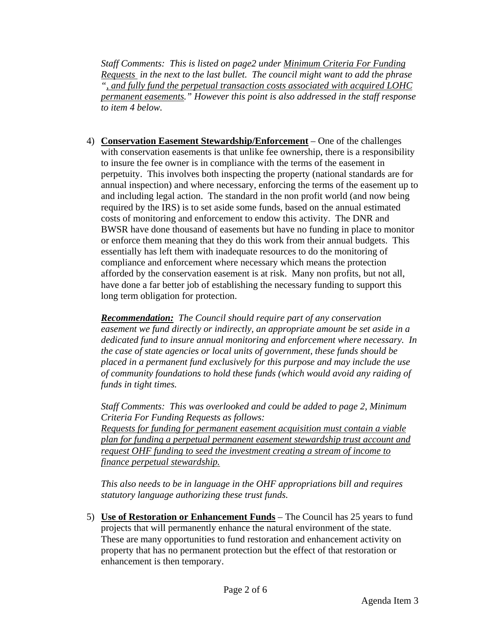*Staff Comments: This is listed on page2 under Minimum Criteria For Funding Requests in the next to the last bullet. The council might want to add the phrase ", and fully fund the perpetual transaction costs associated with acquired LOHC permanent easements." However this point is also addressed in the staff response to item 4 below.* 

4) **Conservation Easement Stewardship/Enforcement** – One of the challenges with conservation easements is that unlike fee ownership, there is a responsibility to insure the fee owner is in compliance with the terms of the easement in perpetuity. This involves both inspecting the property (national standards are for annual inspection) and where necessary, enforcing the terms of the easement up to and including legal action. The standard in the non profit world (and now being required by the IRS) is to set aside some funds, based on the annual estimated costs of monitoring and enforcement to endow this activity. The DNR and BWSR have done thousand of easements but have no funding in place to monitor or enforce them meaning that they do this work from their annual budgets. This essentially has left them with inadequate resources to do the monitoring of compliance and enforcement where necessary which means the protection afforded by the conservation easement is at risk. Many non profits, but not all, have done a far better job of establishing the necessary funding to support this long term obligation for protection.

*Recommendation: The Council should require part of any conservation easement we fund directly or indirectly, an appropriate amount be set aside in a dedicated fund to insure annual monitoring and enforcement where necessary. In the case of state agencies or local units of government, these funds should be placed in a permanent fund exclusively for this purpose and may include the use of community foundations to hold these funds (which would avoid any raiding of funds in tight times.* 

 *Staff Comments: This was overlooked and could be added to page 2, Minimum Criteria For Funding Requests as follows: Requests for funding for permanent easement acquisition must contain a viable plan for funding a perpetual permanent easement stewardship trust account and request OHF funding to seed the investment creating a stream of income to finance perpetual stewardship.* 

 *This also needs to be in language in the OHF appropriations bill and requires statutory language authorizing these trust funds.* 

5) **Use of Restoration or Enhancement Funds** – The Council has 25 years to fund projects that will permanently enhance the natural environment of the state. These are many opportunities to fund restoration and enhancement activity on property that has no permanent protection but the effect of that restoration or enhancement is then temporary.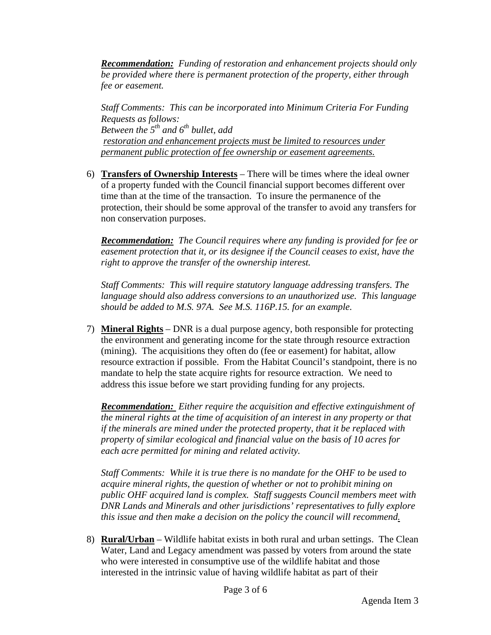*Recommendation: Funding of restoration and enhancement projects should only be provided where there is permanent protection of the property, either through fee or easement.* 

 *Staff Comments: This can be incorporated into Minimum Criteria For Funding Requests as follows: Between the 5th and 6th bullet, add restoration and enhancement projects must be limited to resources under permanent public protection of fee ownership or easement agreements.*

6) **Transfers of Ownership Interests** – There will be times where the ideal owner of a property funded with the Council financial support becomes different over time than at the time of the transaction. To insure the permanence of the protection, their should be some approval of the transfer to avoid any transfers for non conservation purposes.

*Recommendation: The Council requires where any funding is provided for fee or easement protection that it, or its designee if the Council ceases to exist, have the right to approve the transfer of the ownership interest.* 

*Staff Comments: This will require statutory language addressing transfers. The language should also address conversions to an unauthorized use. This language should be added to M.S. 97A. See M.S. 116P.15. for an example.* 

7) **Mineral Rights** – DNR is a dual purpose agency, both responsible for protecting the environment and generating income for the state through resource extraction (mining). The acquisitions they often do (fee or easement) for habitat, allow resource extraction if possible. From the Habitat Council's standpoint, there is no mandate to help the state acquire rights for resource extraction. We need to address this issue before we start providing funding for any projects.

*Recommendation: Either require the acquisition and effective extinguishment of the mineral rights at the time of acquisition of an interest in any property or that if the minerals are mined under the protected property, that it be replaced with property of similar ecological and financial value on the basis of 10 acres for each acre permitted for mining and related activity.* 

*Staff Comments: While it is true there is no mandate for the OHF to be used to acquire mineral rights, the question of whether or not to prohibit mining on public OHF acquired land is complex. Staff suggests Council members meet with DNR Lands and Minerals and other jurisdictions' representatives to fully explore this issue and then make a decision on the policy the council will recommend.*

8) **Rural/Urban** – Wildlife habitat exists in both rural and urban settings. The Clean Water, Land and Legacy amendment was passed by voters from around the state who were interested in consumptive use of the wildlife habitat and those interested in the intrinsic value of having wildlife habitat as part of their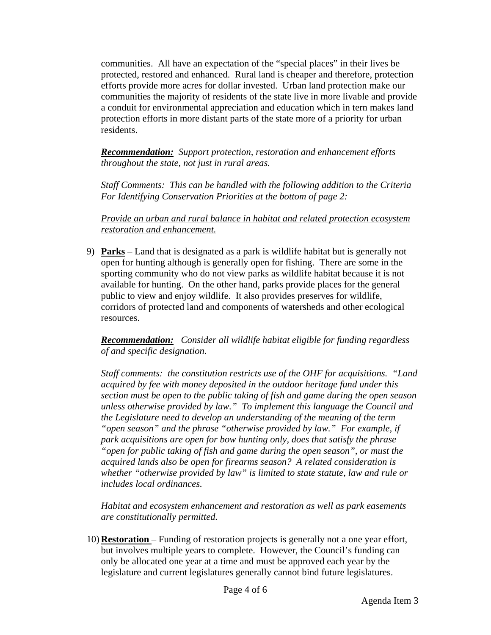communities. All have an expectation of the "special places" in their lives be protected, restored and enhanced. Rural land is cheaper and therefore, protection efforts provide more acres for dollar invested. Urban land protection make our communities the majority of residents of the state live in more livable and provide a conduit for environmental appreciation and education which in tern makes land protection efforts in more distant parts of the state more of a priority for urban residents.

*Recommendation: Support protection, restoration and enhancement efforts throughout the state, not just in rural areas.* 

 *Staff Comments: This can be handled with the following addition to the Criteria For Identifying Conservation Priorities at the bottom of page 2:* 

 *Provide an urban and rural balance in habitat and related protection ecosystem restoration and enhancement.*

9) **Parks** – Land that is designated as a park is wildlife habitat but is generally not open for hunting although is generally open for fishing. There are some in the sporting community who do not view parks as wildlife habitat because it is not available for hunting. On the other hand, parks provide places for the general public to view and enjoy wildlife. It also provides preserves for wildlife, corridors of protected land and components of watersheds and other ecological resources.

*Recommendation: Consider all wildlife habitat eligible for funding regardless of and specific designation.* 

*Staff comments: the constitution restricts use of the OHF for acquisitions. "Land acquired by fee with money deposited in the outdoor heritage fund under this section must be open to the public taking of fish and game during the open season unless otherwise provided by law." To implement this language the Council and the Legislature need to develop an understanding of the meaning of the term "open season" and the phrase "otherwise provided by law." For example, if park acquisitions are open for bow hunting only, does that satisfy the phrase "open for public taking of fish and game during the open season", or must the acquired lands also be open for firearms season? A related consideration is whether "otherwise provided by law" is limited to state statute, law and rule or includes local ordinances.* 

 *Habitat and ecosystem enhancement and restoration as well as park easements are constitutionally permitted.*

10) **Restoration** – Funding of restoration projects is generally not a one year effort, but involves multiple years to complete. However, the Council's funding can only be allocated one year at a time and must be approved each year by the legislature and current legislatures generally cannot bind future legislatures.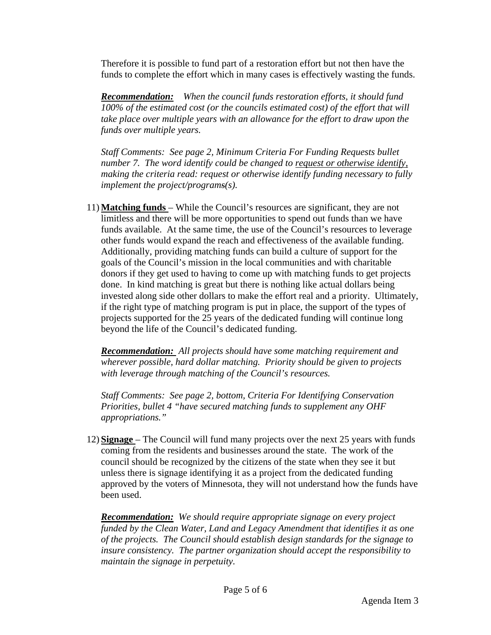Therefore it is possible to fund part of a restoration effort but not then have the funds to complete the effort which in many cases is effectively wasting the funds.

*Recommendation: When the council funds restoration efforts, it should fund 100% of the estimated cost (or the councils estimated cost) of the effort that will take place over multiple years with an allowance for the effort to draw upon the funds over multiple years.* 

 *Staff Comments: See page 2, Minimum Criteria For Funding Requests bullet number 7. The word identify could be changed to request or otherwise identify, making the criteria read: request or otherwise identify funding necessary to fully implement the project/programs(s).* 

11) **Matching funds** – While the Council's resources are significant, they are not limitless and there will be more opportunities to spend out funds than we have funds available. At the same time, the use of the Council's resources to leverage other funds would expand the reach and effectiveness of the available funding. Additionally, providing matching funds can build a culture of support for the goals of the Council's mission in the local communities and with charitable donors if they get used to having to come up with matching funds to get projects done. In kind matching is great but there is nothing like actual dollars being invested along side other dollars to make the effort real and a priority. Ultimately, if the right type of matching program is put in place, the support of the types of projects supported for the 25 years of the dedicated funding will continue long beyond the life of the Council's dedicated funding.

*Recommendation: All projects should have some matching requirement and wherever possible, hard dollar matching. Priority should be given to projects with leverage through matching of the Council's resources.* 

 *Staff Comments: See page 2, bottom, Criteria For Identifying Conservation Priorities, bullet 4 "have secured matching funds to supplement any OHF appropriations."*

12) **Signage** – The Council will fund many projects over the next 25 years with funds coming from the residents and businesses around the state. The work of the council should be recognized by the citizens of the state when they see it but unless there is signage identifying it as a project from the dedicated funding approved by the voters of Minnesota, they will not understand how the funds have been used.

*Recommendation: We should require appropriate signage on every project funded by the Clean Water, Land and Legacy Amendment that identifies it as one of the projects. The Council should establish design standards for the signage to insure consistency. The partner organization should accept the responsibility to maintain the signage in perpetuity.*